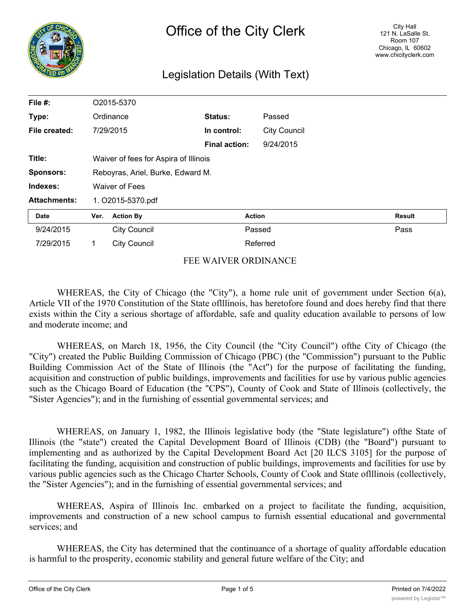

# Legislation Details (With Text)

| File #:             |                                       | O2015-5370          |                      |                     |               |
|---------------------|---------------------------------------|---------------------|----------------------|---------------------|---------------|
| Type:               | Ordinance                             |                     | <b>Status:</b>       | Passed              |               |
| File created:       |                                       | 7/29/2015           | In control:          | <b>City Council</b> |               |
|                     |                                       |                     | <b>Final action:</b> | 9/24/2015           |               |
| Title:              | Waiver of fees for Aspira of Illinois |                     |                      |                     |               |
| <b>Sponsors:</b>    | Reboyras, Ariel, Burke, Edward M.     |                     |                      |                     |               |
| Indexes:            | Waiver of Fees                        |                     |                      |                     |               |
| <b>Attachments:</b> | 1. O2015-5370.pdf                     |                     |                      |                     |               |
| <b>Date</b>         | Ver.                                  | <b>Action By</b>    |                      | <b>Action</b>       | <b>Result</b> |
| 9/24/2015           |                                       | <b>City Council</b> |                      | Passed              | Pass          |
| 7/29/2015           | 1                                     | <b>City Council</b> |                      | Referred            |               |

#### FEE WAIVER ORDINANCE

WHEREAS, the City of Chicago (the "City"), a home rule unit of government under Section 6(a), Article VII of the 1970 Constitution of the State oflllinois, has heretofore found and does hereby find that there exists within the City a serious shortage of affordable, safe and quality education available to persons of low and moderate income; and

WHEREAS, on March 18, 1956, the City Council (the "City Council") ofthe City of Chicago (the "City") created the Public Building Commission of Chicago (PBC) (the "Commission") pursuant to the Public Building Commission Act of the State of Illinois (the "Act") for the purpose of facilitating the funding, acquisition and construction of public buildings, improvements and facilities for use by various public agencies such as the Chicago Board of Education (the "CPS"), County of Cook and State of Illinois (collectively, the "Sister Agencies"); and in the furnishing of essential governmental services; and

WHEREAS, on January 1, 1982, the Illinois legislative body (the "State legislature") ofthe State of Illinois (the "state") created the Capital Development Board of Illinois (CDB) (the "Board") pursuant to implementing and as authorized by the Capital Development Board Act [20 ILCS 3105] for the purpose of facilitating the funding, acquisition and construction of public buildings, improvements and facilities for use by various public agencies such as the Chicago Charter Schools, County of Cook and State oflllinois (collectively, the "Sister Agencies"); and in the furnishing of essential governmental services; and

WHEREAS, Aspira of Illinois Inc. embarked on a project to facilitate the funding, acquisition, improvements and construction of a new school campus to furnish essential educational and governmental services; and

WHEREAS, the City has determined that the continuance of a shortage of quality affordable education is harmful to the prosperity, economic stability and general future welfare of the City; and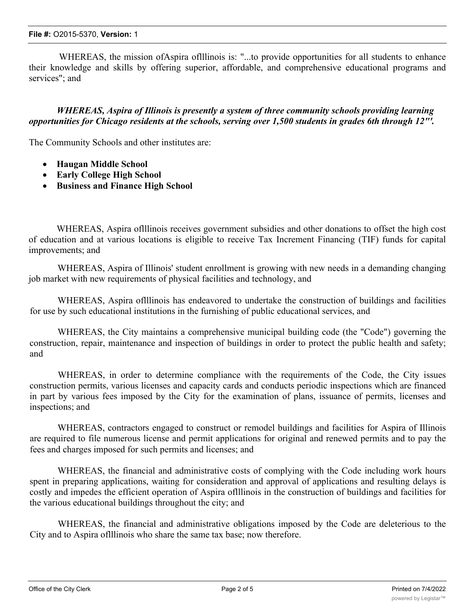WHEREAS, the mission of Aspira of Illinois is: "...to provide opportunities for all students to enhance their knowledge and skills by offering superior, affordable, and comprehensive educational programs and services"; and

### *WHEREAS, Aspira of Illinois is presently a system of three community schools providing learning opportunities for Chicago residents at the schools, serving over 1,500 students in grades 6th through 12"'.*

The Community Schools and other institutes are:

- · **Haugan Middle School**
- · **Early College High School**
- · **Business and Finance High School**

WHEREAS, Aspira oflllinois receives government subsidies and other donations to offset the high cost of education and at various locations is eligible to receive Tax Increment Financing (TIF) funds for capital improvements; and

WHEREAS, Aspira of Illinois' student enrollment is growing with new needs in a demanding changing job market with new requirements of physical facilities and technology, and

WHEREAS, Aspira oflllinois has endeavored to undertake the construction of buildings and facilities for use by such educational institutions in the furnishing of public educational services, and

WHEREAS, the City maintains a comprehensive municipal building code (the "Code") governing the construction, repair, maintenance and inspection of buildings in order to protect the public health and safety; and

WHEREAS, in order to determine compliance with the requirements of the Code, the City issues construction permits, various licenses and capacity cards and conducts periodic inspections which are financed in part by various fees imposed by the City for the examination of plans, issuance of permits, licenses and inspections; and

WHEREAS, contractors engaged to construct or remodel buildings and facilities for Aspira of Illinois are required to file numerous license and permit applications for original and renewed permits and to pay the fees and charges imposed for such permits and licenses; and

WHEREAS, the financial and administrative costs of complying with the Code including work hours spent in preparing applications, waiting for consideration and approval of applications and resulting delays is costly and impedes the efficient operation of Aspira oflllinois in the construction of buildings and facilities for the various educational buildings throughout the city; and

WHEREAS, the financial and administrative obligations imposed by the Code are deleterious to the City and to Aspira oflllinois who share the same tax base; now therefore.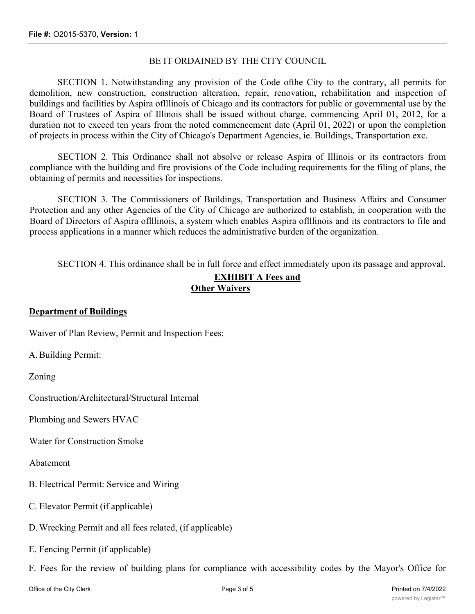#### BE IT ORDAINED BY THE CITY COUNCIL

SECTION 1. Notwithstanding any provision of the Code ofthe City to the contrary, all permits for demolition, new construction, construction alteration, repair, renovation, rehabilitation and inspection of buildings and facilities by Aspira oflllinois of Chicago and its contractors for public or governmental use by the Board of Trustees of Aspira of Illinois shall be issued without charge, commencing April 01, 2012, for a duration not to exceed ten years from the noted commencement date (April 01, 2022) or upon the completion of projects in process within the City of Chicago's Department Agencies, ie. Buildings, Transportation exc.

SECTION 2. This Ordinance shall not absolve or release Aspira of Illinois or its contractors from compliance with the building and fire provisions of the Code including requirements for the filing of plans, the obtaining of permits and necessities for inspections.

SECTION 3. The Commissioners of Buildings, Transportation and Business Affairs and Consumer Protection and any other Agencies of the City of Chicago are authorized to establish, in cooperation with the Board of Directors of Aspira oflllinois, a system which enables Aspira oflllinois and its contractors to file and process applications in a manner which reduces the administrative burden of the organization.

SECTION 4. This ordinance shall be in full force and effect immediately upon its passage and approval.

#### **EXHIBIT A Fees and Other Waivers**

## **Department of Buildings**

Waiver of Plan Review, Permit and Inspection Fees:

A.Building Permit:

Zoning

Construction/Architectural/Structural Internal

Plumbing and Sewers HVAC

Water for Construction Smoke

Abatement

- B. Electrical Permit: Service and Wiring
- C. Elevator Permit (if applicable)
- D.Wrecking Permit and all fees related, (if applicable)
- E. Fencing Permit (if applicable)
- F. Fees for the review of building plans for compliance with accessibility codes by the Mayor's Office for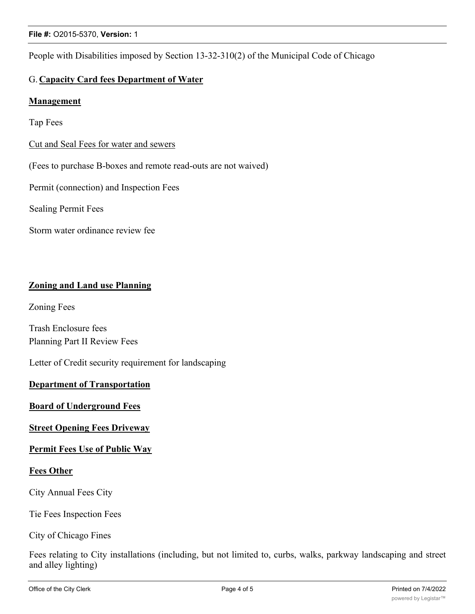People with Disabilities imposed by Section 13-32-310(2) of the Municipal Code of Chicago

# G. **Capacity Card fees Department of Water**

### **Management**

Tap Fees

Cut and Seal Fees for water and sewers

(Fees to purchase B-boxes and remote read-outs are not waived)

Permit (connection) and Inspection Fees

Sealing Permit Fees

Storm water ordinance review fee

## **Zoning and Land use Planning**

Zoning Fees

Trash Enclosure fees Planning Part II Review Fees

Letter of Credit security requirement for landscaping

#### **Department of Transportation**

### **Board of Underground Fees**

#### **Street Opening Fees Driveway**

#### **Permit Fees Use of Public Way**

#### **Fees Other**

City Annual Fees City

Tie Fees Inspection Fees

City of Chicago Fines

Fees relating to City installations (including, but not limited to, curbs, walks, parkway landscaping and street and alley lighting)